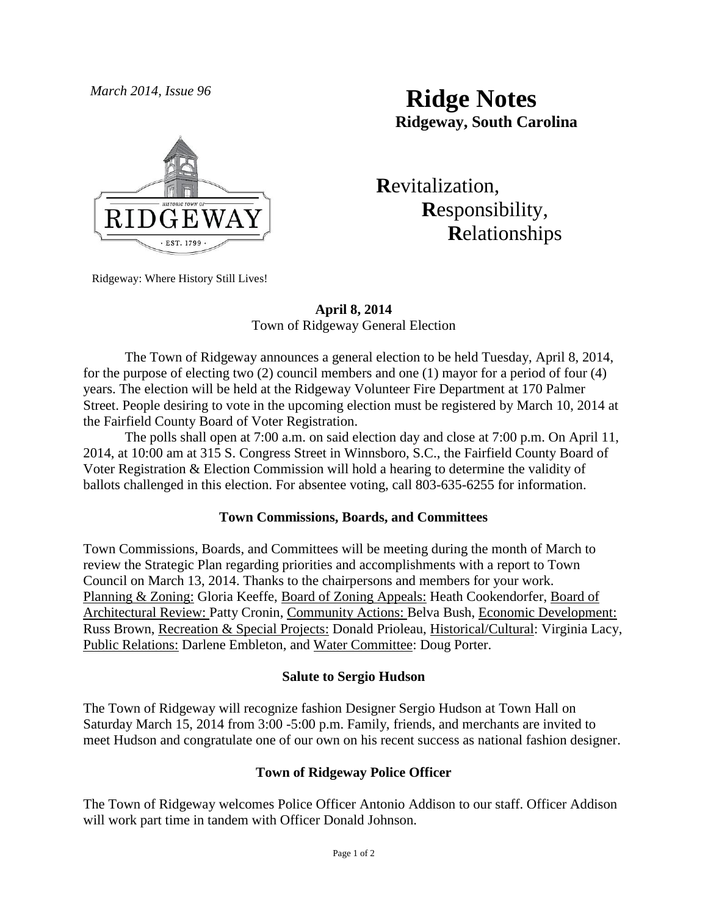

*March 2014, Issue 96* **Ridge Notes Ridgeway, South Carolina**

> **R**evitalization,  **R**esponsibility,  **R**elationships

Ridgeway: Where History Still Lives!

# **April 8, 2014** Town of Ridgeway General Election

The Town of Ridgeway announces a general election to be held Tuesday, April 8, 2014, for the purpose of electing two (2) council members and one (1) mayor for a period of four (4) years. The election will be held at the Ridgeway Volunteer Fire Department at 170 Palmer Street. People desiring to vote in the upcoming election must be registered by March 10, 2014 at the Fairfield County Board of Voter Registration.

The polls shall open at 7:00 a.m. on said election day and close at 7:00 p.m. On April 11, 2014, at 10:00 am at 315 S. Congress Street in Winnsboro, S.C., the Fairfield County Board of Voter Registration & Election Commission will hold a hearing to determine the validity of ballots challenged in this election. For absentee voting, call 803-635-6255 for information.

### **Town Commissions, Boards, and Committees**

Town Commissions, Boards, and Committees will be meeting during the month of March to review the Strategic Plan regarding priorities and accomplishments with a report to Town Council on March 13, 2014. Thanks to the chairpersons and members for your work. Planning & Zoning: Gloria Keeffe, Board of Zoning Appeals: Heath Cookendorfer, Board of Architectural Review: Patty Cronin, Community Actions: Belva Bush, Economic Development: Russ Brown, Recreation & Special Projects: Donald Prioleau, Historical/Cultural: Virginia Lacy, Public Relations: Darlene Embleton, and Water Committee: Doug Porter.

### **Salute to Sergio Hudson**

The Town of Ridgeway will recognize fashion Designer Sergio Hudson at Town Hall on Saturday March 15, 2014 from 3:00 -5:00 p.m. Family, friends, and merchants are invited to meet Hudson and congratulate one of our own on his recent success as national fashion designer.

### **Town of Ridgeway Police Officer**

The Town of Ridgeway welcomes Police Officer Antonio Addison to our staff. Officer Addison will work part time in tandem with Officer Donald Johnson.